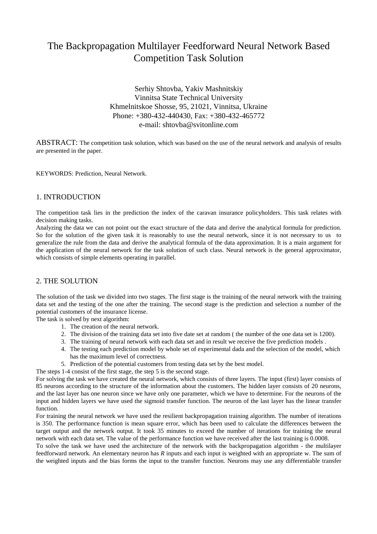## The Backpropagation Multilayer Feedforward Neural Network Based Competition Task Solution

Serhiy Shtovba, Yakiv Mashnitskiy Vinnitsa State Technical University Khmelnitskoe Shosse, 95, 21021, Vinnitsa, Ukraine Phone: +380-432-440430, Fax: +380-432-465772 e-mail: shtovba@svitonline.com

ABSTRACT: The competition task solution, which was based on the use of the neural network and analysis of results are presented in the paper.

KEYWORDS: Prediction, Neural Network.

## 1. INTRODUCTION

The competition task lies in the prediction the index of the caravan insurance policyholders. This task relates with decision making tasks.

Analyzing the data we can not point out the exact structure of the data and derive the analytical formula for prediction. So for the solution of the given task it is reasonably to use the neural network, since it is not necessary to us to generalize the rule from the data and derive the analytical formula of the data approximation. It is a main argument for the application of the neural network for the task solution of such class. Neural network is the general approximator, which consists of simple elements operating in parallel.

## 2. THE SOLUTION

The solution of the task we divided into two stages. The first stage is the training of the neural network with the training data set and the testing of the one after the training. The second stage is the prediction and selection a number of the potential customers of the insurance license.

The task is solved by next algorithm:

- 1. The creation of the neural network.
- 2. The division of the training data set into five date set at random ( the number of the one data set is 1200).
- 3. The training of neural network with each data set and in result we receive the five prediction models .
- 4. The testing each prediction model by whole set of experimental dada and the selection of the model, which has the maximum level of correctness.
- 5. Prediction of the potential customers from testing data set by the best model.
- The steps 1-4 consist of the first stage, the step 5 is the second stage.

For solving the task we have created the neural network, which consists of three layers. The input (first) layer consists of 85 neurons according to the structure of the information about the customers. The hidden layer consists of 20 neurons, and the last layer has one neuron since we have only one parameter, which we have to determine. For the neurons of the input and hidden layers we have used the sigmoid transfer function. The neuron of the last layer has the linear transfer function.

For training the neural network we have used the resilient backpropagation training algorithm. The number of iterations is 350. The performance function is mean square error, which has been used to calculate the differences between the target output and the network output. It took 35 minutes to exceed the number of iterations for training the neural network with each data set. The value of the performance function we have received after the last training is 0.0008.

To solve the task we have used the architecture of the network with the backpropagation algorithm - the multilayer feedforward network. An elementary neuron has *R* inputs and each input is weighted with an appropriate w. The sum of the weighted inputs and the bias forms the input to the transfer function. Neurons may use any differentiable transfer